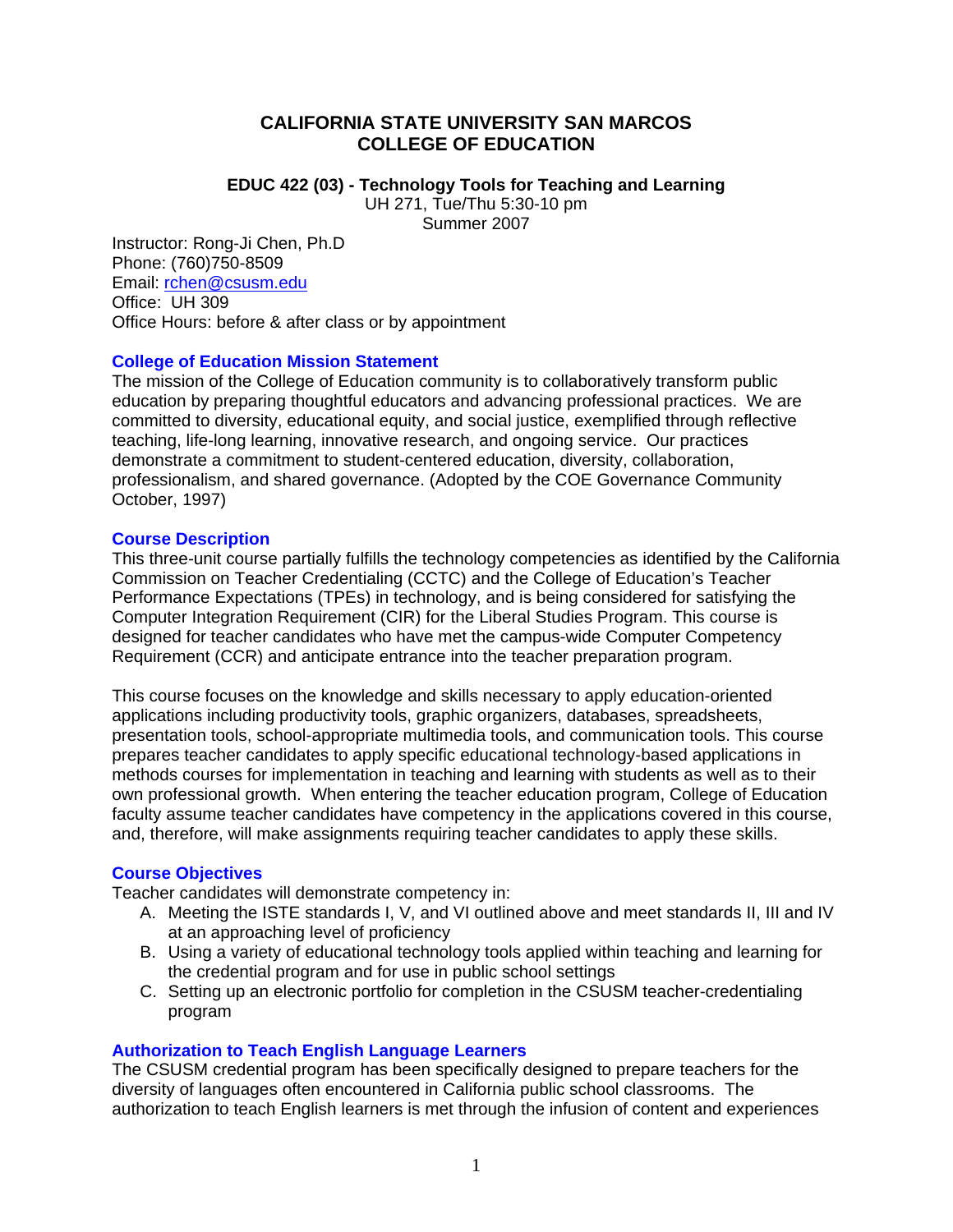# **CALIFORNIA STATE UNIVERSITY SAN MARCOS COLLEGE OF EDUCATION**

**EDUC 422 (03) - Technology Tools for Teaching and Learning** 

UH 271, Tue/Thu 5:30-10 pm

Summer 2007

Instructor: Rong-Ji Chen, Ph.D Phone: (760)750-8509 Email: rchen@csusm.edu Office: UH 309 Office Hours: before & after class or by appointment

# **College of Education Mission Statement**

The mission of the College of Education community is to collaboratively transform public education by preparing thoughtful educators and advancing professional practices. We are committed to diversity, educational equity, and social justice, exemplified through reflective teaching, life-long learning, innovative research, and ongoing service. Our practices demonstrate a commitment to student-centered education, diversity, collaboration, professionalism, and shared governance. (Adopted by the COE Governance Community October, 1997)

## **Course Description**

This three-unit course partially fulfills the technology competencies as identified by the California Commission on Teacher Credentialing (CCTC) and the College of Education's Teacher Performance Expectations (TPEs) in technology, and is being considered for satisfying the Computer Integration Requirement (CIR) for the Liberal Studies Program. This course is designed for teacher candidates who have met the campus-wide Computer Competency Requirement (CCR) and anticipate entrance into the teacher preparation program.

This course focuses on the knowledge and skills necessary to apply education-oriented applications including productivity tools, graphic organizers, databases, spreadsheets, presentation tools, school-appropriate multimedia tools, and communication tools. This course prepares teacher candidates to apply specific educational technology-based applications in methods courses for implementation in teaching and learning with students as well as to their own professional growth. When entering the teacher education program, College of Education faculty assume teacher candidates have competency in the applications covered in this course, and, therefore, will make assignments requiring teacher candidates to apply these skills.

# **Course Objectives**

Teacher candidates will demonstrate competency in:

- A. Meeting the ISTE standards I, V, and VI outlined above and meet standards II, III and IV at an approaching level of proficiency
- B. Using a variety of educational technology tools applied within teaching and learning for the credential program and for use in public school settings
- C. Setting up an electronic portfolio for completion in the CSUSM teacher-credentialing program

## **Authorization to Teach English Language Learners**

The CSUSM credential program has been specifically designed to prepare teachers for the diversity of languages often encountered in California public school classrooms. The authorization to teach English learners is met through the infusion of content and experiences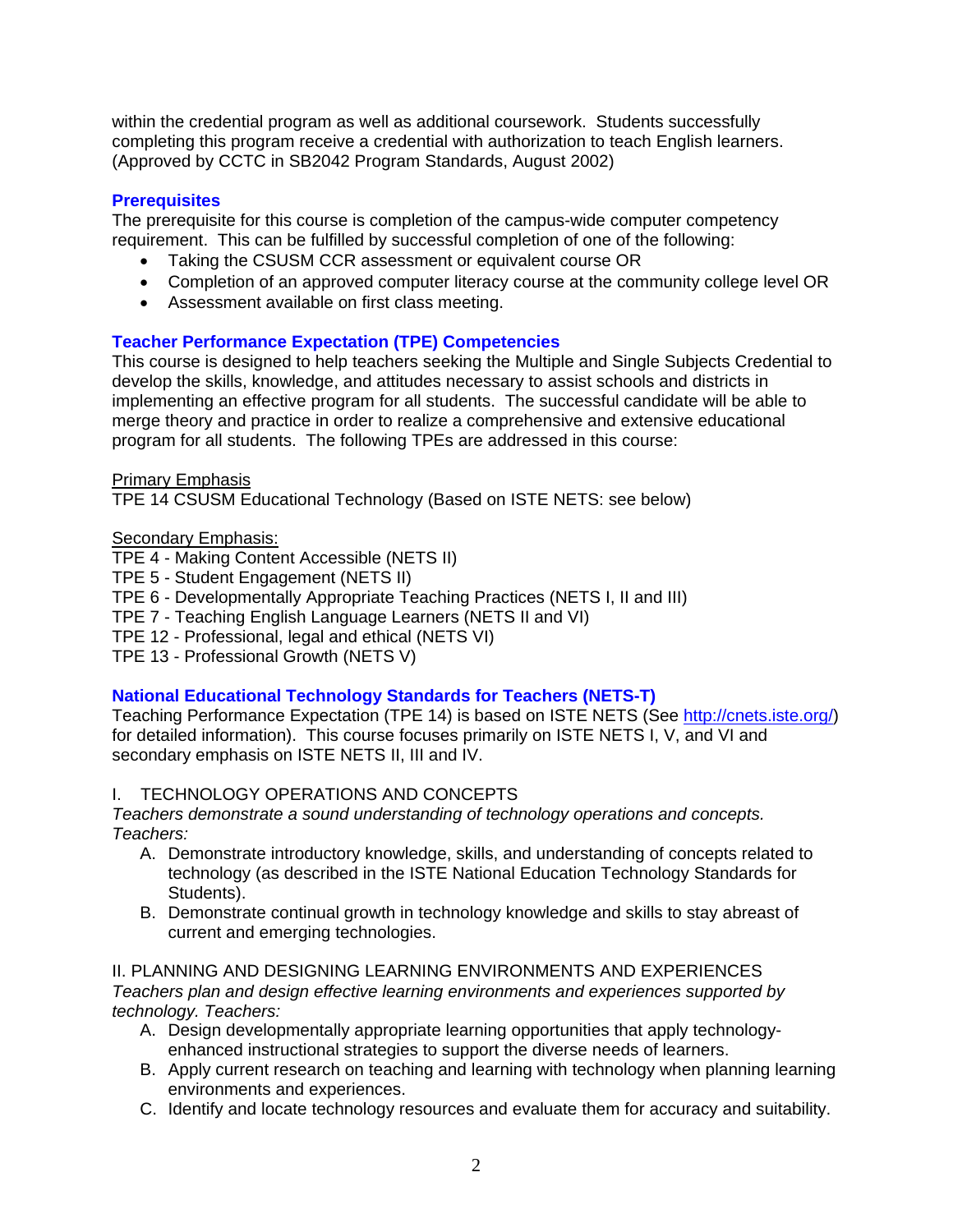within the credential program as well as additional coursework. Students successfully completing this program receive a credential with authorization to teach English learners. (Approved by CCTC in SB2042 Program Standards, August 2002)

# **Prerequisites**

The prerequisite for this course is completion of the campus-wide computer competency requirement. This can be fulfilled by successful completion of one of the following:

- Taking the CSUSM CCR assessment or equivalent course OR
- Completion of an approved computer literacy course at the community college level OR
- Assessment available on first class meeting.

# **Teacher Performance Expectation (TPE) Competencies**

This course is designed to help teachers seeking the Multiple and Single Subjects Credential to develop the skills, knowledge, and attitudes necessary to assist schools and districts in implementing an effective program for all students. The successful candidate will be able to merge theory and practice in order to realize a comprehensive and extensive educational program for all students. The following TPEs are addressed in this course:

## Primary Emphasis

TPE 14 CSUSM Educational Technology (Based on ISTE NETS: see below)

# **Secondary Emphasis:**

- TPE 4 Making Content Accessible (NETS II)
- TPE 5 Student Engagement (NETS II)
- TPE 6 Developmentally Appropriate Teaching Practices (NETS I, II and III)
- TPE 7 Teaching English Language Learners (NETS II and VI)
- TPE 12 Professional, legal and ethical (NETS VI)
- TPE 13 Professional Growth (NETS V)

# **National Educational Technology Standards for Teachers (NETS-T)**

Teaching Performance Expectation (TPE 14) is based on ISTE NETS (See http://cnets.iste.org/) for detailed information). This course focuses primarily on ISTE NETS I, V, and VI and secondary emphasis on ISTE NETS II, III and IV.

## I. TECHNOLOGY OPERATIONS AND CONCEPTS

*Teachers demonstrate a sound understanding of technology operations and concepts. Teachers:* 

- A. Demonstrate introductory knowledge, skills, and understanding of concepts related to technology (as described in the ISTE National Education Technology Standards for Students).
- B. Demonstrate continual growth in technology knowledge and skills to stay abreast of current and emerging technologies.

II. PLANNING AND DESIGNING LEARNING ENVIRONMENTS AND EXPERIENCES *Teachers plan and design effective learning environments and experiences supported by technology. Teachers:* 

- A. Design developmentally appropriate learning opportunities that apply technologyenhanced instructional strategies to support the diverse needs of learners.
- B. Apply current research on teaching and learning with technology when planning learning environments and experiences.
- C. Identify and locate technology resources and evaluate them for accuracy and suitability.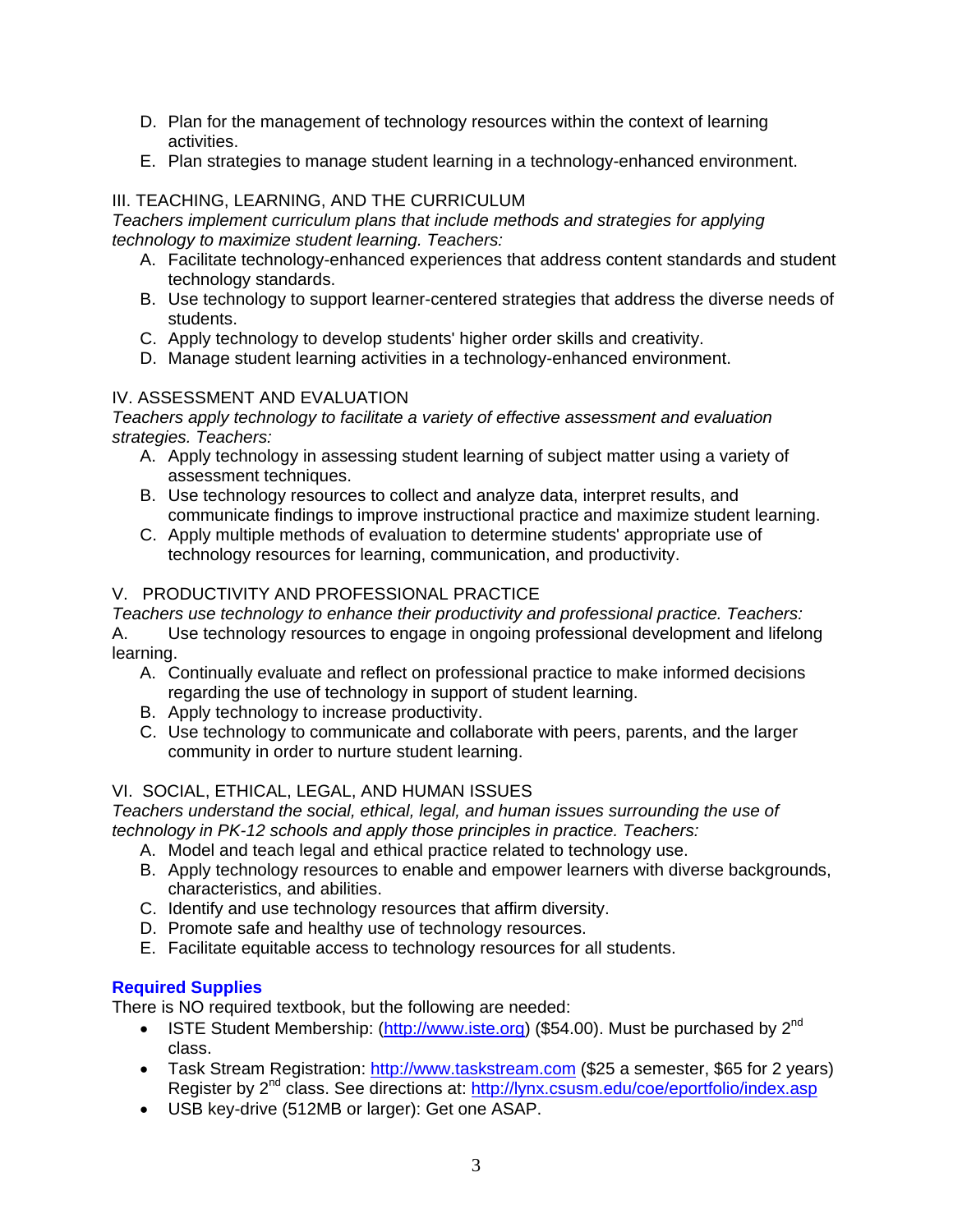- D. Plan for the management of technology resources within the context of learning activities.
- E. Plan strategies to manage student learning in a technology-enhanced environment.

# III. TEACHING, LEARNING, AND THE CURRICULUM

*Teachers implement curriculum plans that include methods and strategies for applying technology to maximize student learning. Teachers:* 

- A. Facilitate technology-enhanced experiences that address content standards and student technology standards.
- B. Use technology to support learner-centered strategies that address the diverse needs of students.
- C. Apply technology to develop students' higher order skills and creativity.
- D. Manage student learning activities in a technology-enhanced environment.

# IV. ASSESSMENT AND EVALUATION

*Teachers apply technology to facilitate a variety of effective assessment and evaluation strategies. Teachers:* 

- A. Apply technology in assessing student learning of subject matter using a variety of assessment techniques.
- B. Use technology resources to collect and analyze data, interpret results, and communicate findings to improve instructional practice and maximize student learning.
- C. Apply multiple methods of evaluation to determine students' appropriate use of technology resources for learning, communication, and productivity.

# V. PRODUCTIVITY AND PROFESSIONAL PRACTICE

*Teachers use technology to enhance their productivity and professional practice. Teachers:* 

A. Use technology resources to engage in ongoing professional development and lifelong learning.

- A. Continually evaluate and reflect on professional practice to make informed decisions regarding the use of technology in support of student learning.
- B. Apply technology to increase productivity.
- C. Use technology to communicate and collaborate with peers, parents, and the larger community in order to nurture student learning.

# VI. SOCIAL, ETHICAL, LEGAL, AND HUMAN ISSUES

*Teachers understand the social, ethical, legal, and human issues surrounding the use of technology in PK-12 schools and apply those principles in practice. Teachers:* 

- A. Model and teach legal and ethical practice related to technology use.
- B. Apply technology resources to enable and empower learners with diverse backgrounds, characteristics, and abilities.
- C. Identify and use technology resources that affirm diversity.
- D. Promote safe and healthy use of technology resources.
- E. Facilitate equitable access to technology resources for all students.

# **Required Supplies**

There is NO required textbook, but the following are needed:

- ISTE Student Membership:  $(http://www.iste.org)$  (\$54.00). Must be purchased by  $2<sup>nd</sup>$ class.
- Task Stream Registration: http://www.taskstream.com (\$25 a semester, \$65 for 2 years) Register by 2<sup>nd</sup> class. See directions at: http://lynx.csusm.edu/coe/eportfolio/index.asp
- USB key-drive (512MB or larger): Get one ASAP.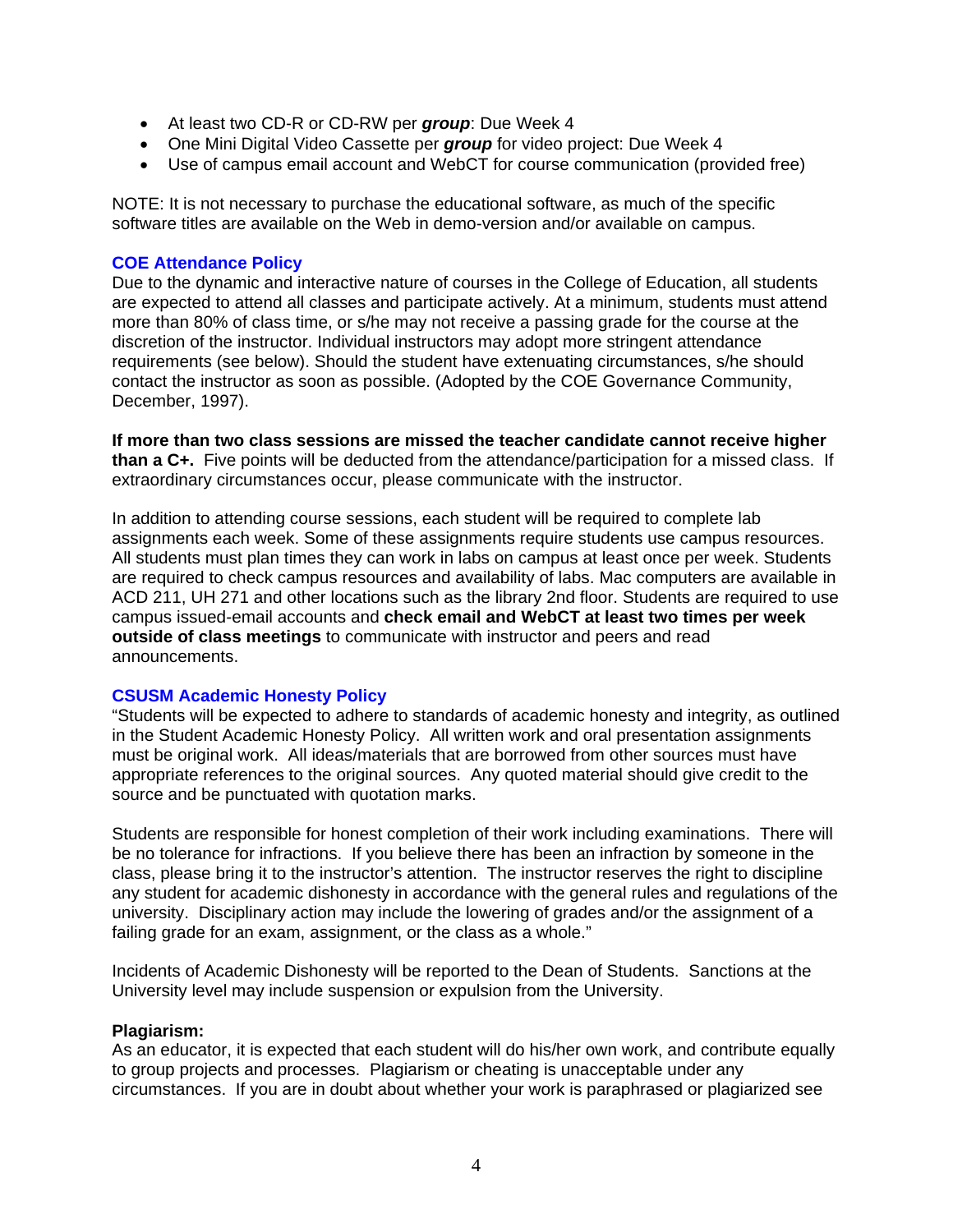- At least two CD-R or CD-RW per *group*: Due Week 4
- One Mini Digital Video Cassette per *group* for video project: Due Week 4
- Use of campus email account and WebCT for course communication (provided free)

NOTE: It is not necessary to purchase the educational software, as much of the specific software titles are available on the Web in demo-version and/or available on campus.

#### **COE Attendance Policy**

Due to the dynamic and interactive nature of courses in the College of Education, all students are expected to attend all classes and participate actively. At a minimum, students must attend more than 80% of class time, or s/he may not receive a passing grade for the course at the discretion of the instructor. Individual instructors may adopt more stringent attendance requirements (see below). Should the student have extenuating circumstances, s/he should contact the instructor as soon as possible. (Adopted by the COE Governance Community, December, 1997).

**If more than two class sessions are missed the teacher candidate cannot receive higher than a C+.** Five points will be deducted from the attendance/participation for a missed class. If extraordinary circumstances occur, please communicate with the instructor.

In addition to attending course sessions, each student will be required to complete lab assignments each week. Some of these assignments require students use campus resources. All students must plan times they can work in labs on campus at least once per week. Students are required to check campus resources and availability of labs. Mac computers are available in ACD 211, UH 271 and other locations such as the library 2nd floor. Students are required to use campus issued-email accounts and **check email and WebCT at least two times per week outside of class meetings** to communicate with instructor and peers and read announcements.

#### **CSUSM Academic Honesty Policy**

"Students will be expected to adhere to standards of academic honesty and integrity, as outlined in the Student Academic Honesty Policy. All written work and oral presentation assignments must be original work. All ideas/materials that are borrowed from other sources must have appropriate references to the original sources. Any quoted material should give credit to the source and be punctuated with quotation marks.

Students are responsible for honest completion of their work including examinations. There will be no tolerance for infractions. If you believe there has been an infraction by someone in the class, please bring it to the instructor's attention. The instructor reserves the right to discipline any student for academic dishonesty in accordance with the general rules and regulations of the university. Disciplinary action may include the lowering of grades and/or the assignment of a failing grade for an exam, assignment, or the class as a whole."

Incidents of Academic Dishonesty will be reported to the Dean of Students. Sanctions at the University level may include suspension or expulsion from the University.

#### **Plagiarism:**

As an educator, it is expected that each student will do his/her own work, and contribute equally to group projects and processes. Plagiarism or cheating is unacceptable under any circumstances. If you are in doubt about whether your work is paraphrased or plagiarized see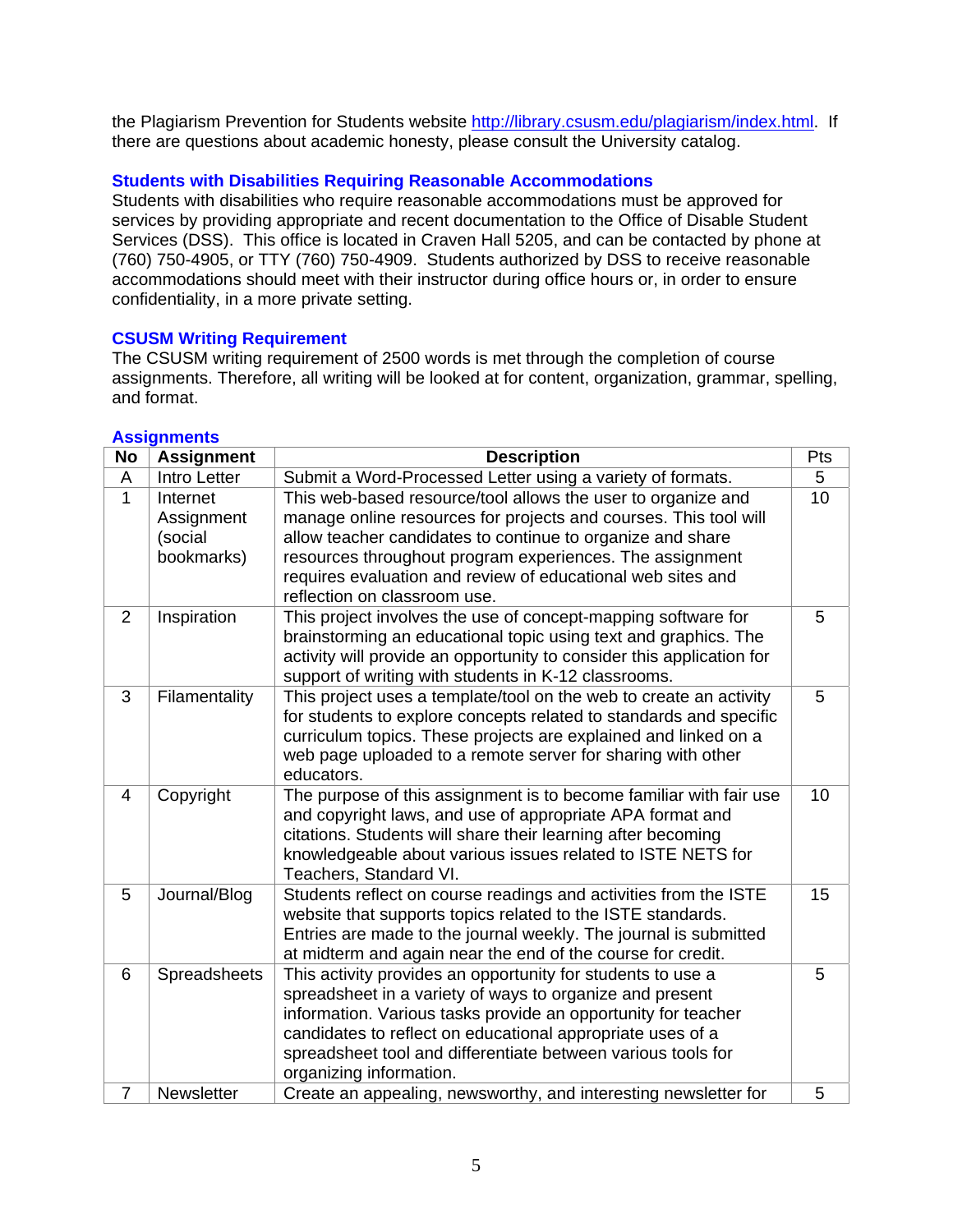the Plagiarism Prevention for Students website http://library.csusm.edu/plagiarism/index.html. If there are questions about academic honesty, please consult the University catalog.

### **Students with Disabilities Requiring Reasonable Accommodations**

Students with disabilities who require reasonable accommodations must be approved for services by providing appropriate and recent documentation to the Office of Disable Student Services (DSS). This office is located in Craven Hall 5205, and can be contacted by phone at (760) 750-4905, or TTY (760) 750-4909. Students authorized by DSS to receive reasonable accommodations should meet with their instructor during office hours or, in order to ensure confidentiality, in a more private setting.

### **CSUSM Writing Requirement**

The CSUSM writing requirement of 2500 words is met through the completion of course assignments. Therefore, all writing will be looked at for content, organization, grammar, spelling, and format.

|--|

| <b>No</b>      | <b>Assignment</b>                               | <b>Description</b>                                                                                                                                                                                                                                                                                                                                        | Pts |
|----------------|-------------------------------------------------|-----------------------------------------------------------------------------------------------------------------------------------------------------------------------------------------------------------------------------------------------------------------------------------------------------------------------------------------------------------|-----|
| A              | Intro Letter                                    | Submit a Word-Processed Letter using a variety of formats.                                                                                                                                                                                                                                                                                                | 5   |
| 1              | Internet<br>Assignment<br>(social<br>bookmarks) | This web-based resource/tool allows the user to organize and<br>manage online resources for projects and courses. This tool will<br>allow teacher candidates to continue to organize and share<br>resources throughout program experiences. The assignment<br>requires evaluation and review of educational web sites and<br>reflection on classroom use. | 10  |
| $\overline{2}$ | Inspiration                                     | This project involves the use of concept-mapping software for<br>brainstorming an educational topic using text and graphics. The<br>activity will provide an opportunity to consider this application for<br>support of writing with students in K-12 classrooms.                                                                                         | 5   |
| 3              | Filamentality                                   | This project uses a template/tool on the web to create an activity<br>for students to explore concepts related to standards and specific<br>curriculum topics. These projects are explained and linked on a<br>web page uploaded to a remote server for sharing with other<br>educators.                                                                  | 5   |
| 4              | Copyright                                       | The purpose of this assignment is to become familiar with fair use<br>and copyright laws, and use of appropriate APA format and<br>citations. Students will share their learning after becoming<br>knowledgeable about various issues related to ISTE NETS for<br>Teachers, Standard VI.                                                                  | 10  |
| 5              | Journal/Blog                                    | Students reflect on course readings and activities from the ISTE<br>website that supports topics related to the ISTE standards.<br>Entries are made to the journal weekly. The journal is submitted<br>at midterm and again near the end of the course for credit.                                                                                        | 15  |
| 6              | Spreadsheets                                    | This activity provides an opportunity for students to use a<br>spreadsheet in a variety of ways to organize and present<br>information. Various tasks provide an opportunity for teacher<br>candidates to reflect on educational appropriate uses of a<br>spreadsheet tool and differentiate between various tools for<br>organizing information.         | 5   |
| $\overline{7}$ | Newsletter                                      | Create an appealing, newsworthy, and interesting newsletter for                                                                                                                                                                                                                                                                                           | 5   |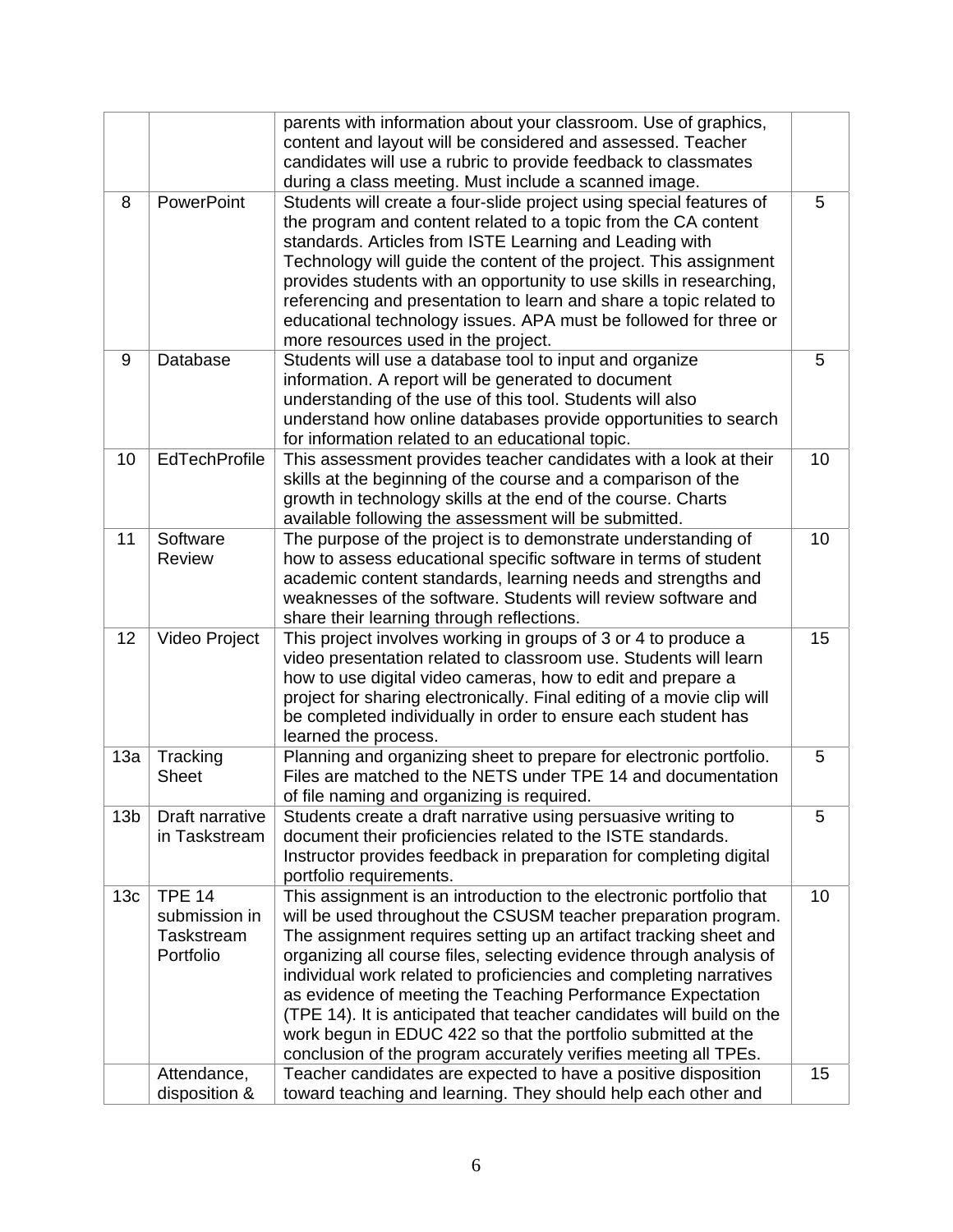|                 |                                                           | parents with information about your classroom. Use of graphics,<br>content and layout will be considered and assessed. Teacher<br>candidates will use a rubric to provide feedback to classmates<br>during a class meeting. Must include a scanned image.                                                                                                                                                                                                                                                                                                                                                                           |    |
|-----------------|-----------------------------------------------------------|-------------------------------------------------------------------------------------------------------------------------------------------------------------------------------------------------------------------------------------------------------------------------------------------------------------------------------------------------------------------------------------------------------------------------------------------------------------------------------------------------------------------------------------------------------------------------------------------------------------------------------------|----|
| 8               | PowerPoint                                                | Students will create a four-slide project using special features of<br>the program and content related to a topic from the CA content<br>standards. Articles from ISTE Learning and Leading with<br>Technology will guide the content of the project. This assignment<br>provides students with an opportunity to use skills in researching,<br>referencing and presentation to learn and share a topic related to<br>educational technology issues. APA must be followed for three or<br>more resources used in the project.                                                                                                       | 5  |
| 9               | Database                                                  | Students will use a database tool to input and organize<br>information. A report will be generated to document<br>understanding of the use of this tool. Students will also<br>understand how online databases provide opportunities to search<br>for information related to an educational topic.                                                                                                                                                                                                                                                                                                                                  | 5  |
| 10              | EdTechProfile                                             | This assessment provides teacher candidates with a look at their<br>skills at the beginning of the course and a comparison of the<br>growth in technology skills at the end of the course. Charts<br>available following the assessment will be submitted.                                                                                                                                                                                                                                                                                                                                                                          | 10 |
| 11              | Software<br><b>Review</b>                                 | The purpose of the project is to demonstrate understanding of<br>how to assess educational specific software in terms of student<br>academic content standards, learning needs and strengths and<br>weaknesses of the software. Students will review software and<br>share their learning through reflections.                                                                                                                                                                                                                                                                                                                      | 10 |
| 12              | Video Project                                             | This project involves working in groups of 3 or 4 to produce a<br>video presentation related to classroom use. Students will learn<br>how to use digital video cameras, how to edit and prepare a<br>project for sharing electronically. Final editing of a movie clip will<br>be completed individually in order to ensure each student has<br>learned the process.                                                                                                                                                                                                                                                                | 15 |
| 13a             | Tracking<br><b>Sheet</b>                                  | Planning and organizing sheet to prepare for electronic portfolio.<br>Files are matched to the NETS under TPE 14 and documentation<br>of file naming and organizing is required.                                                                                                                                                                                                                                                                                                                                                                                                                                                    | 5  |
| 13 <sub>b</sub> | Draft narrative<br>in Taskstream                          | Students create a draft narrative using persuasive writing to<br>document their proficiencies related to the ISTE standards.<br>Instructor provides feedback in preparation for completing digital<br>portfolio requirements.                                                                                                                                                                                                                                                                                                                                                                                                       | 5  |
| 13 <sub>c</sub> | <b>TPE 14</b><br>submission in<br>Taskstream<br>Portfolio | This assignment is an introduction to the electronic portfolio that<br>will be used throughout the CSUSM teacher preparation program.<br>The assignment requires setting up an artifact tracking sheet and<br>organizing all course files, selecting evidence through analysis of<br>individual work related to proficiencies and completing narratives<br>as evidence of meeting the Teaching Performance Expectation<br>(TPE 14). It is anticipated that teacher candidates will build on the<br>work begun in EDUC 422 so that the portfolio submitted at the<br>conclusion of the program accurately verifies meeting all TPEs. | 10 |
|                 | Attendance,<br>disposition &                              | Teacher candidates are expected to have a positive disposition<br>toward teaching and learning. They should help each other and                                                                                                                                                                                                                                                                                                                                                                                                                                                                                                     | 15 |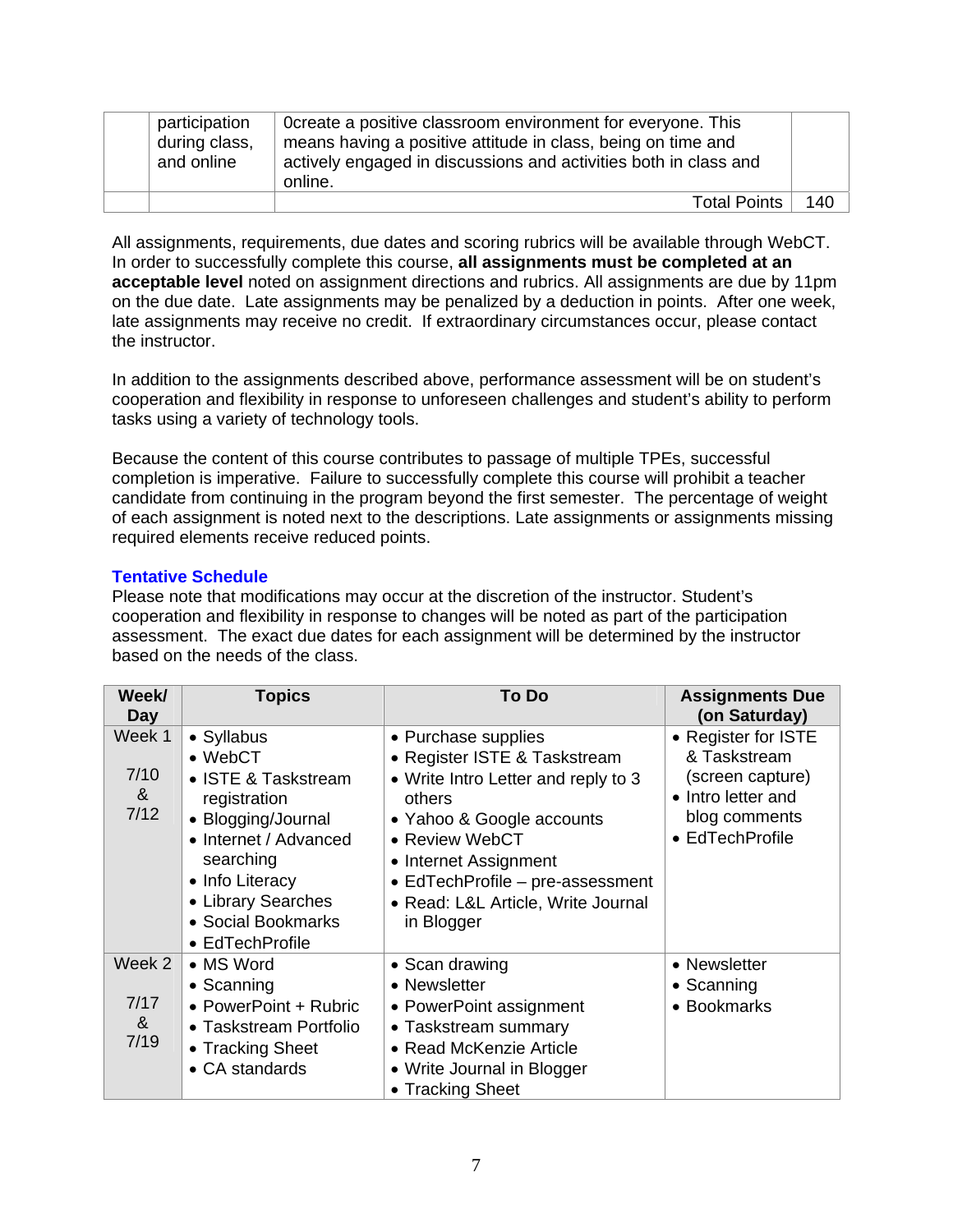| participation<br>during class,<br>and online | Ocreate a positive classroom environment for everyone. This<br>means having a positive attitude in class, being on time and<br>actively engaged in discussions and activities both in class and<br>online. |     |
|----------------------------------------------|------------------------------------------------------------------------------------------------------------------------------------------------------------------------------------------------------------|-----|
|                                              | <b>Total Points</b>                                                                                                                                                                                        | 140 |

All assignments, requirements, due dates and scoring rubrics will be available through WebCT. In order to successfully complete this course, **all assignments must be completed at an acceptable level** noted on assignment directions and rubrics. All assignments are due by 11pm on the due date. Late assignments may be penalized by a deduction in points. After one week, late assignments may receive no credit. If extraordinary circumstances occur, please contact the instructor.

In addition to the assignments described above, performance assessment will be on student's cooperation and flexibility in response to unforeseen challenges and student's ability to perform tasks using a variety of technology tools.

Because the content of this course contributes to passage of multiple TPEs, successful completion is imperative. Failure to successfully complete this course will prohibit a teacher candidate from continuing in the program beyond the first semester. The percentage of weight of each assignment is noted next to the descriptions. Late assignments or assignments missing required elements receive reduced points.

## **Tentative Schedule**

Please note that modifications may occur at the discretion of the instructor. Student's cooperation and flexibility in response to changes will be noted as part of the participation assessment. The exact due dates for each assignment will be determined by the instructor based on the needs of the class.

| Week/<br>Day                | <b>Topics</b>                                                                                                                                                                                                      | <b>To Do</b>                                                                                                                                                                                                                                                         | <b>Assignments Due</b><br>(on Saturday)                                                                           |
|-----------------------------|--------------------------------------------------------------------------------------------------------------------------------------------------------------------------------------------------------------------|----------------------------------------------------------------------------------------------------------------------------------------------------------------------------------------------------------------------------------------------------------------------|-------------------------------------------------------------------------------------------------------------------|
| Week 1<br>7/10<br>&<br>7/12 | • Syllabus<br>$\bullet$ WebCT<br>• ISTE & Taskstream<br>registration<br>• Blogging/Journal<br>• Internet / Advanced<br>searching<br>• Info Literacy<br>• Library Searches<br>• Social Bookmarks<br>• EdTechProfile | • Purchase supplies<br>• Register ISTE & Taskstream<br>• Write Intro Letter and reply to 3<br>others<br>• Yahoo & Google accounts<br>• Review WebCT<br>• Internet Assignment<br>• EdTechProfile - pre-assessment<br>• Read: L&L Article, Write Journal<br>in Blogger | • Register for ISTE<br>& Taskstream<br>(screen capture)<br>• Intro letter and<br>blog comments<br>• EdTechProfile |
| Week 2<br>7/17<br>&<br>7/19 | • MS Word<br>• Scanning<br>• PowerPoint + Rubric<br>• Taskstream Portfolio<br>• Tracking Sheet<br>• CA standards                                                                                                   | • Scan drawing<br>• Newsletter<br>• PowerPoint assignment<br>• Taskstream summary<br>• Read McKenzie Article<br>• Write Journal in Blogger<br>• Tracking Sheet                                                                                                       | • Newsletter<br>$\bullet$ Scanning<br>• Bookmarks                                                                 |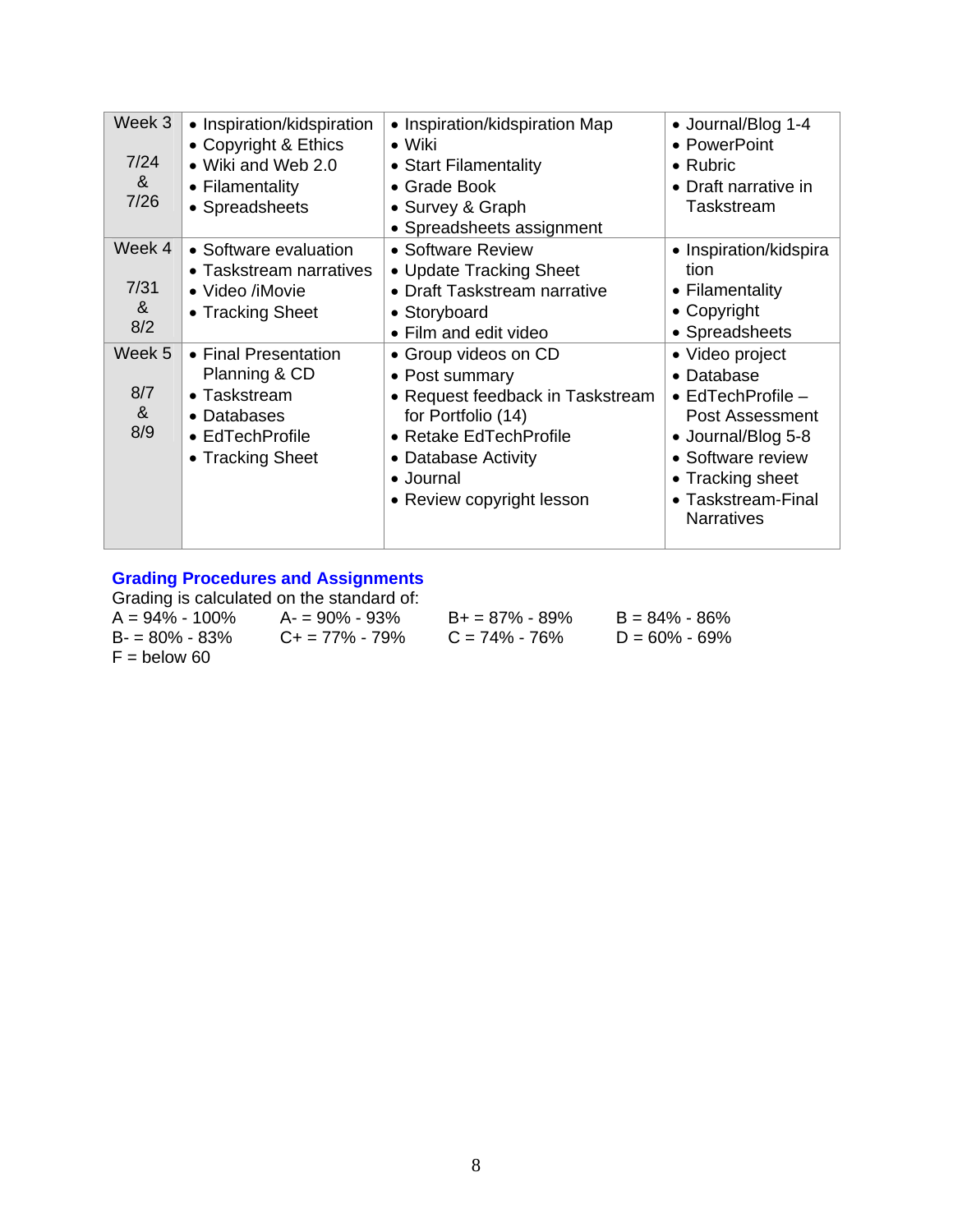| Week 3<br>7/24<br>&<br>7/26 | • Inspiration/kidspiration<br>• Copyright & Ethics<br>• Wiki and Web 2.0<br>• Filamentality<br>• Spreadsheets | • Inspiration/kidspiration Map<br>$\bullet$ Wiki<br>• Start Filamentality<br>• Grade Book<br>• Survey & Graph<br>• Spreadsheets assignment                                                  | • Journal/Blog 1-4<br>• PowerPoint<br>$\bullet$ Rubric<br>• Draft narrative in<br>Taskstream                                                                                              |
|-----------------------------|---------------------------------------------------------------------------------------------------------------|---------------------------------------------------------------------------------------------------------------------------------------------------------------------------------------------|-------------------------------------------------------------------------------------------------------------------------------------------------------------------------------------------|
| Week 4<br>7/31<br>&<br>8/2  | • Software evaluation<br>• Taskstream narratives<br>• Video /iMovie<br>• Tracking Sheet                       | • Software Review<br>• Update Tracking Sheet<br>• Draft Taskstream narrative<br>• Storyboard<br>• Film and edit video                                                                       | • Inspiration/kidspira<br>tion<br>• Filamentality<br>• Copyright<br>• Spreadsheets                                                                                                        |
| Week 5<br>8/7<br>&<br>8/9   | • Final Presentation<br>Planning & CD<br>• Taskstream<br>• Databases<br>• EdTechProfile<br>• Tracking Sheet   | • Group videos on CD<br>• Post summary<br>• Request feedback in Taskstream<br>for Portfolio (14)<br>• Retake EdTechProfile<br>• Database Activity<br>• Journal<br>• Review copyright lesson | • Video project<br>• Database<br>$\bullet$ EdTechProfile $-$<br>Post Assessment<br>• Journal/Blog 5-8<br>• Software review<br>• Tracking sheet<br>• Taskstream-Final<br><b>Narratives</b> |

# **Grading Procedures and Assignments**

| Grading is calculated on the standard of: |                            |                    |                   |  |  |
|-------------------------------------------|----------------------------|--------------------|-------------------|--|--|
| $A = 94\% - 100\%$                        | $A = 90\% - 93\%$          | $B+ = 87\% - 89\%$ | $B = 84\% - 86\%$ |  |  |
| $B = 80\% - 83\%$                         | $C_{\rm{+}} = 77\% - 79\%$ | $C = 74\% - 76\%$  | $D = 60\% - 69\%$ |  |  |
| $F =$ below 60                            |                            |                    |                   |  |  |